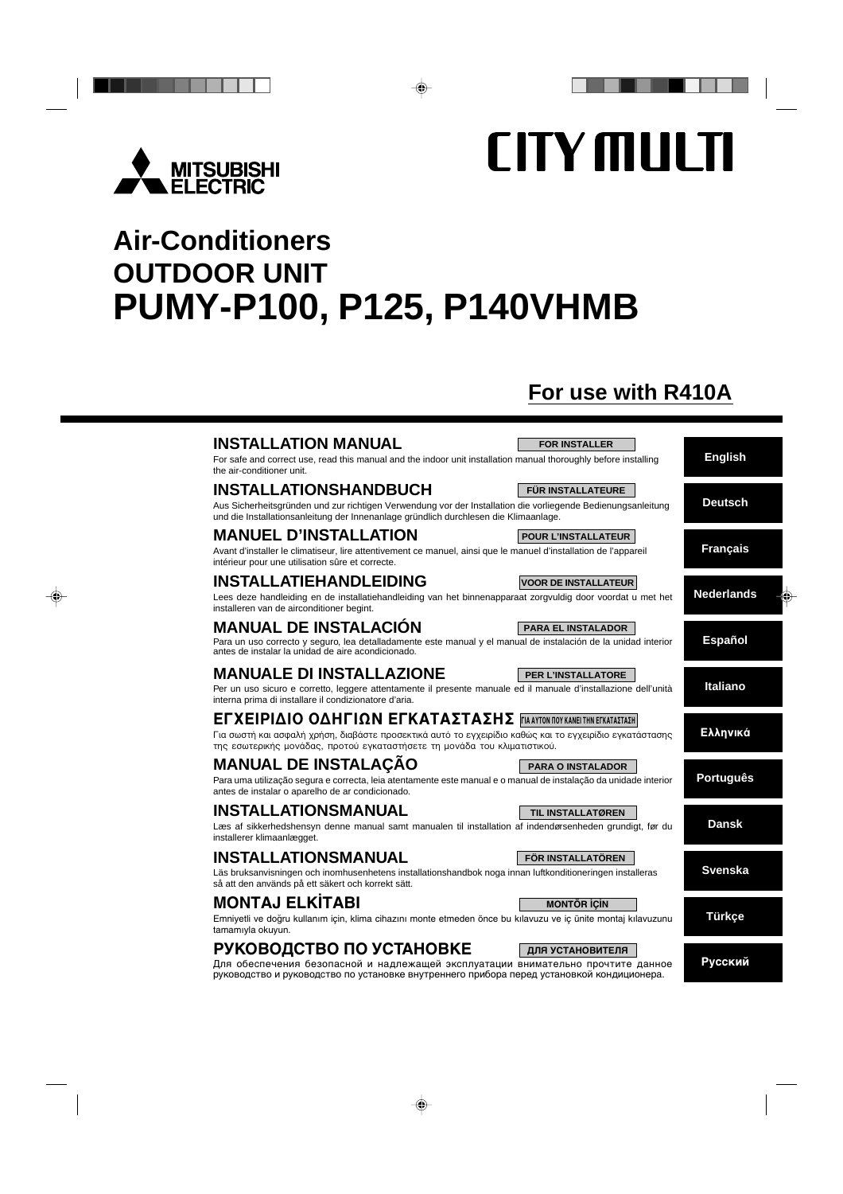

# **CITY MULTI**

# **Air-Conditioners OUTDOOR UNIT PUMY-P100, P125, P140VHMB**

# **For use with R410A**

| <b>INSTALLATION MANUAL</b><br>For safe and correct use, read this manual and the indoor unit installation manual thoroughly before installing<br>the air-conditioner unit.                                                                                        | <b>FOR INSTALLER</b>        | <b>English</b>    |
|-------------------------------------------------------------------------------------------------------------------------------------------------------------------------------------------------------------------------------------------------------------------|-----------------------------|-------------------|
| <b>INSTALLATIONSHANDBUCH</b><br>Aus Sicherheitsgründen und zur richtigen Verwendung vor der Installation die vorliegende Bedienungsanleitung<br>und die Installationsanleitung der Innenanlage gründlich durchlesen die Klimaanlage.                              | <b>FÜR INSTALLATEURE</b>    | <b>Deutsch</b>    |
| <b>MANUEL D'INSTALLATION</b><br>Avant d'installer le climatiseur, lire attentivement ce manuel, ainsi que le manuel d'installation de l'appareil<br>intérieur pour une utilisation sûre et correcte.                                                              | <b>POUR L'INSTALLATEUR</b>  | <b>Français</b>   |
| <b>INSTALLATIEHANDLEIDING</b><br>Lees deze handleiding en de installatiehandleiding van het binnenapparaat zorgvuldig door voordat u met het<br>installeren van de airconditioner begint.                                                                         | <b>VOOR DE INSTALLATEUR</b> | <b>Nederlands</b> |
| <b>MANUAL DE INSTALACIÓN</b><br>Para un uso correcto y seguro, lea detalladamente este manual y el manual de instalación de la unidad interior<br>antes de instalar la unidad de aire acondicionado.                                                              | <b>PARA EL INSTALADOR</b>   | <b>Español</b>    |
| <b>MANUALE DI INSTALLAZIONE</b><br>Per un uso sicuro e corretto, leggere attentamente il presente manuale ed il manuale d'installazione dell'unità<br>interna prima di installare il condizionatore d'aria.                                                       | PER L'INSTALLATORE          | <b>Italiano</b>   |
| <b>ΕΓΧΕΙΡΙΔΙΟ ΟΔΗΓΙΩΝ ΕΓΚΑΤΑΣΤΑΣΗΣ ΓΙΑΑΥΤΟΝ ΠΟΥ ΚΑΝΕΙ ΤΗΝ ΕΓΚΑΤΑΣΤΑΣΗ</b><br>Για σωστή και ασφαλή χρήση, διαβάστε προσεκτικά αυτό το εγχειρίδιο καθώς και το εγχειρίδιο εγκατάστασης<br>της εσωτερικής μονάδας, προτού εγκαταστήσετε τη μονάδα του κλιματιστικού. |                             | Ελληνικά          |
| <b>MANUAL DE INSTALAÇÃO</b><br>Para uma utilização segura e correcta, leia atentamente este manual e o manual de instalação da unidade interior<br>antes de instalar o aparelho de ar condicionado.                                                               | <b>PARA O INSTALADOR</b>    | <b>Português</b>  |
| <b>INSTALLATIONSMANUAL</b><br>Læs af sikkerhedshensyn denne manual samt manualen til installation af indendørsenheden grundigt, før du<br>installerer klimaanlægget.                                                                                              | <b>TIL INSTALLATØREN</b>    | <b>Dansk</b>      |
| <b>INSTALLATIONSMANUAL</b><br>Läs bruksanvisningen och inomhusenhetens installationshandbok noga innan luftkonditioneringen installeras<br>så att den används på ett säkert och korrekt sätt.                                                                     | <b>FÖR INSTALLATÖREN</b>    | <b>Svenska</b>    |
| <b>MONTAJ ELKÍTABI</b><br>Emniyetli ve doğru kullanım için, klima cihazını monte etmeden önce bu kılavuzu ve iç ünite montaj kılavuzunu<br>tamamıyla okuyun.                                                                                                      | <b>MONTÖR ICIN</b>          | <b>Türkçe</b>     |
| РУКОВОДСТВО ПО УСТАНОВКЕ<br>Для обеспечения безопасной и надлежащей эксплуатации внимательно прочтите данное                                                                                                                                                      | ДЛЯ УСТАНОВИТЕЛЯ            | Русский           |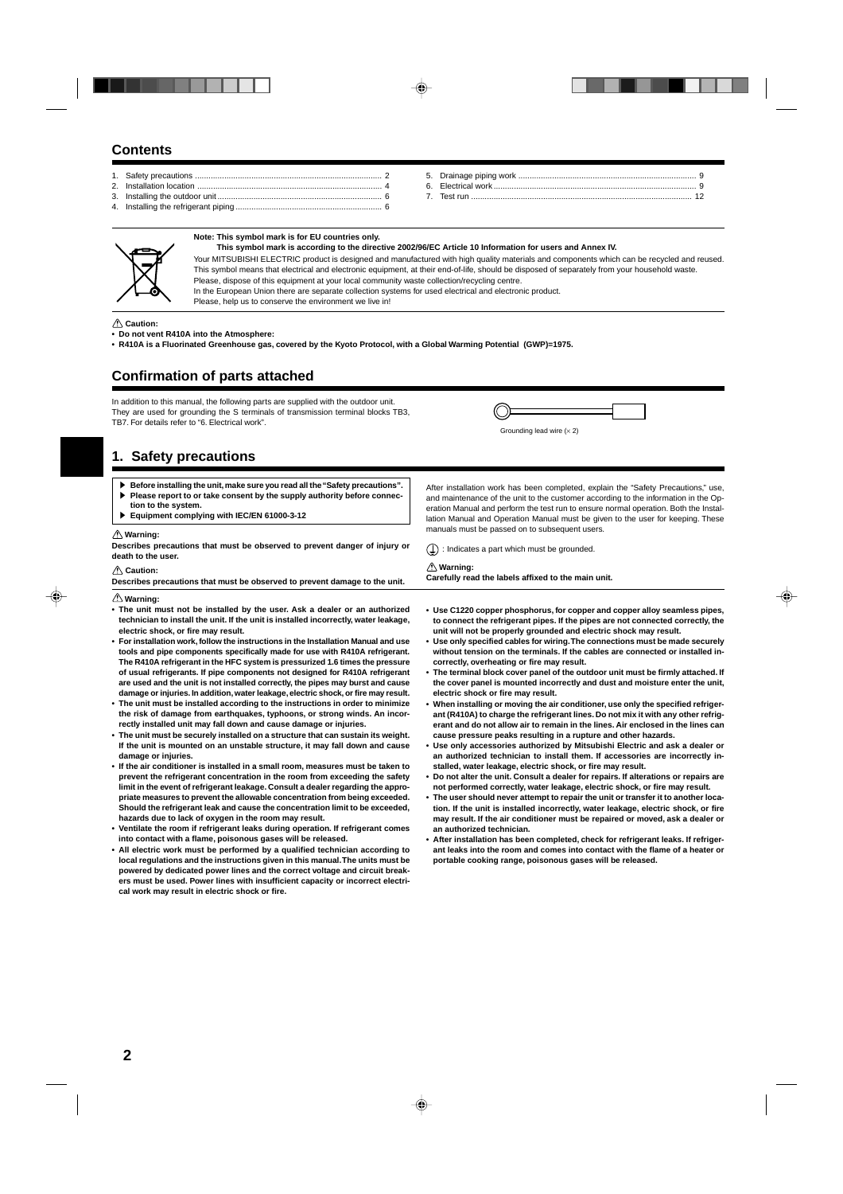# **Contents**

| Installation location |          |
|-----------------------|----------|
|                       | Test run |
|                       |          |



#### **Note: This symbol mark is for EU countries only. This symbol mark is according to the directive 2002/96/EC Article 10 Information for users and Annex IV.**

Your MITSUBISHI ELECTRIC product is designed and manufactured with high quality materials and components which can be recycled and reused. This symbol means that electrical and electronic equipment, at their end-of-life, should be disposed of separately from your household waste. Please, dispose of this equipment at your local community waste collection/recycling centre. In the European Union there are separate collection systems for used electrical and electronic product.

 **Warning:**

Please, help us to conserve the environment we live in!

 **Caution:**

**• Do not vent R410A into the Atmosphere:**

**• R410A is a Fluorinated Greenhouse gas, covered by the Kyoto Protocol, with a Global Warming Potential (GWP)=1975.**

# **Confirmation of parts attached**

In addition to this manual, the following parts are supplied with the outdoor unit. They are used for grounding the S terminals of transmission terminal blocks TB3, TB7. For details refer to "6. Electrical work".

Grounding lead wire  $(x 2)$ 

manuals must be passed on to subsequent users.  $(\frac{1}{x})$ : Indicates a part which must be grounded.

**Carefully read the labels affixed to the main unit.**

# **1. Safety precautions**

- Before installing the unit, make sure you read all the "Safety precautions". Please report to or take consent by the supply authority before connec-
- **tion to the system.** s **Equipment complying with IEC/EN 61000-3-12**

#### **Warning:**

**Describes precautions that must be observed to prevent danger of injury or death to the user.**

#### **Caution:**

| Describes precautions that must be observed to prevent damage to the unit. |  |
|----------------------------------------------------------------------------|--|

 **Warning:**

- **The unit must not be installed by the user. Ask a dealer or an authorized technician to install the unit. If the unit is installed incorrectly, water leakage, electric shock, or fire may result.**
- **For installation work, follow the instructions in the Installation Manual and use tools and pipe components specifically made for use with R410A refrigerant. The R410A refrigerant in the HFC system is pressurized 1.6 times the pressure of usual refrigerants. If pipe components not designed for R410A refrigerant are used and the unit is not installed correctly, the pipes may burst and cause damage or injuries. In addition, water leakage, electric shock, or fire may result.**
- **The unit must be installed according to the instructions in order to minimize the risk of damage from earthquakes, typhoons, or strong winds. An incorrectly installed unit may fall down and cause damage or injuries.**
- **The unit must be securely installed on a structure that can sustain its weight. If the unit is mounted on an unstable structure, it may fall down and cause damage or injuries.**
- **If the air conditioner is installed in a small room, measures must be taken to prevent the refrigerant concentration in the room from exceeding the safety limit in the event of refrigerant leakage. Consult a dealer regarding the appropriate measures to prevent the allowable concentration from being exceeded. Should the refrigerant leak and cause the concentration limit to be exceeded, hazards due to lack of oxygen in the room may result.**
- **Ventilate the room if refrigerant leaks during operation. If refrigerant comes into contact with a flame, poisonous gases will be released.**
- **All electric work must be performed by a qualified technician according to local regulations and the instructions given in this manual. The units must be powered by dedicated power lines and the correct voltage and circuit breakers must be used. Power lines with insufficient capacity or incorrect electrical work may result in electric shock or fire.**

**• Use C1220 copper phosphorus, for copper and copper alloy seamless pipes, to connect the refrigerant pipes. If the pipes are not connected correctly, the unit will not be properly grounded and electric shock may result.**

After installation work has been completed, explain the "Safety Precautions," use, and maintenance of the unit to the customer according to the information in the Operation Manual and perform the test run to ensure normal operation. Both the Installation Manual and Operation Manual must be given to the user for keeping. These

- **Use only specified cables for wiring. The connections must be made securely without tension on the terminals. If the cables are connected or installed incorrectly, overheating or fire may result.**
- **The terminal block cover panel of the outdoor unit must be firmly attached. If the cover panel is mounted incorrectly and dust and moisture enter the unit, electric shock or fire may result.**
- **When installing or moving the air conditioner, use only the specified refrigerant (R410A) to charge the refrigerant lines. Do not mix it with any other refrigerant and do not allow air to remain in the lines. Air enclosed in the lines can cause pressure peaks resulting in a rupture and other hazards.**
- **Use only accessories authorized by Mitsubishi Electric and ask a dealer or an authorized technician to install them. If accessories are incorrectly installed, water leakage, electric shock, or fire may result.**
- **Do not alter the unit. Consult a dealer for repairs. If alterations or repairs are not performed correctly, water leakage, electric shock, or fire may result.**
- **The user should never attempt to repair the unit or transfer it to another location. If the unit is installed incorrectly, water leakage, electric shock, or fire may result. If the air conditioner must be repaired or moved, ask a dealer or an authorized technician.**
- **After installation has been completed, check for refrigerant leaks. If refrigerant leaks into the room and comes into contact with the flame of a heater or portable cooking range, poisonous gases will be released.**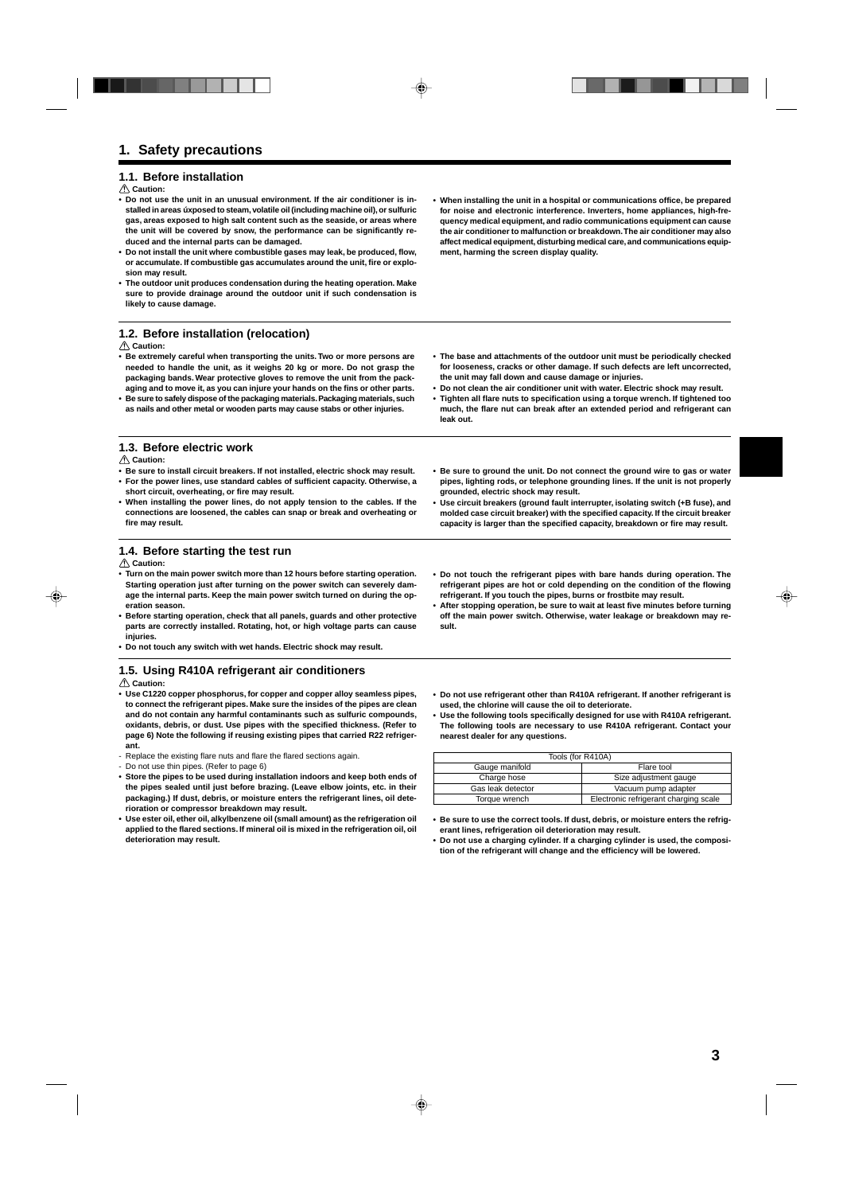#### **1.1. Before installation**

#### **Caution:**

- **• Do not use the unit in an unusual environment. If the air conditioner is installed in areas úxposed to steam, volatile oil (including machine oil), or sulfuric gas, areas exposed to high salt content such as the seaside, or areas where the unit will be covered by snow, the performance can be significantly reduced and the internal parts can be damaged.**
- **• Do not install the unit where combustible gases may leak, be produced, flow, or accumulate. If combustible gas accumulates around the unit, fire or explosion may result.**
- **• The outdoor unit produces condensation during the heating operation. Make sure to provide drainage around the outdoor unit if such condensation is likely to cause damage.**

### **1.2. Before installation (relocation)**

#### **Caution:**

- **• Be extremely careful when transporting the units. Two or more persons are needed to handle the unit, as it weighs 20 kg or more. Do not grasp the packaging bands. Wear protective gloves to remove the unit from the packaging and to move it, as you can injure your hands on the fins or other parts.**
- **• Be sure to safely dispose of the packaging materials. Packaging materials, such as nails and other metal or wooden parts may cause stabs or other injuries.**
- **1.3. Before electric work**

#### **Caution:**

- **• Be sure to install circuit breakers. If not installed, electric shock may result. • For the power lines, use standard cables of sufficient capacity. Otherwise, a short circuit, overheating, or fire may result.**
- **• When installing the power lines, do not apply tension to the cables. If the connections are loosened, the cables can snap or break and overheating or fire may result.**
- **• Be sure to ground the unit. Do not connect the ground wire to gas or water pipes, lighting rods, or telephone grounding lines. If the unit is not properly grounded, electric shock may result. • Use circuit breakers (ground fault interrupter, isolating switch (+B fuse), and**
- **molded case circuit breaker) with the specified capacity. If the circuit breaker capacity is larger than the specified capacity, breakdown or fire may result.**

#### **1.4. Before starting the test run**

#### *A* Caution:

- **• Turn on the main power switch more than 12 hours before starting operation. Starting operation just after turning on the power switch can severely damage the internal parts. Keep the main power switch turned on during the operation season.**
- **• Before starting operation, check that all panels, guards and other protective parts are correctly installed. Rotating, hot, or high voltage parts can cause injuries.**
- **• Do not touch any switch with wet hands. Electric shock may result.**

#### **1.5. Using R410A refrigerant air conditioners**

 **Caution:**

- **• Use C1220 copper phosphorus, for copper and copper alloy seamless pipes, to connect the refrigerant pipes. Make sure the insides of the pipes are clean and do not contain any harmful contaminants such as sulfuric compounds, oxidants, debris, or dust. Use pipes with the specified thickness. (Refer to page 6) Note the following if reusing existing pipes that carried R22 refrigerant.**
- Replace the existing flare nuts and flare the flared sections again.
- Do not use thin pipes. (Refer to page 6)
- **• Store the pipes to be used during installation indoors and keep both ends of the pipes sealed until just before brazing. (Leave elbow joints, etc. in their packaging.) If dust, debris, or moisture enters the refrigerant lines, oil deterioration or compressor breakdown may result.**
- **• Use ester oil, ether oil, alkylbenzene oil (small amount) as the refrigeration oil applied to the flared sections. If mineral oil is mixed in the refrigeration oil, oil deterioration may result.**
- **• Do not touch the refrigerant pipes with bare hands during operation. The refrigerant pipes are hot or cold depending on the condition of the flowing refrigerant. If you touch the pipes, burns or frostbite may result.**
- **• After stopping operation, be sure to wait at least five minutes before turning off the main power switch. Otherwise, water leakage or breakdown may result.**
- **• Do not use refrigerant other than R410A refrigerant. If another refrigerant is used, the chlorine will cause the oil to deteriorate.**
- **• Use the following tools specifically designed for use with R410A refrigerant. The following tools are necessary to use R410A refrigerant. Contact your nearest dealer for any questions.**

| Tools (for R410A)            |                                       |  |  |  |
|------------------------------|---------------------------------------|--|--|--|
| Gauge manifold<br>Flare tool |                                       |  |  |  |
| Charge hose                  | Size adjustment gauge                 |  |  |  |
| Gas leak detector            | Vacuum pump adapter                   |  |  |  |
| Torque wrench                | Electronic refrigerant charging scale |  |  |  |

- **• Be sure to use the correct tools. If dust, debris, or moisture enters the refrigerant lines, refrigeration oil deterioration may result.**
- **• Do not use a charging cylinder. If a charging cylinder is used, the composition of the refrigerant will change and the efficiency will be lowered.**
- **• When installing the unit in a hospital or communications office, be prepared for noise and electronic interference. Inverters, home appliances, high-frequency medical equipment, and radio communications equipment can cause the air conditioner to malfunction or breakdown. The air conditioner may also affect medical equipment, disturbing medical care, and communications equipment, harming the screen display quality.**
- **• The base and attachments of the outdoor unit must be periodically checked for looseness, cracks or other damage. If such defects are left uncorrected, the unit may fall down and cause damage or injuries.**
- **• Do not clean the air conditioner unit with water. Electric shock may result.**
- **• Tighten all flare nuts to specification using a torque wrench. If tightened too much, the flare nut can break after an extended period and refrigerant can leak out.**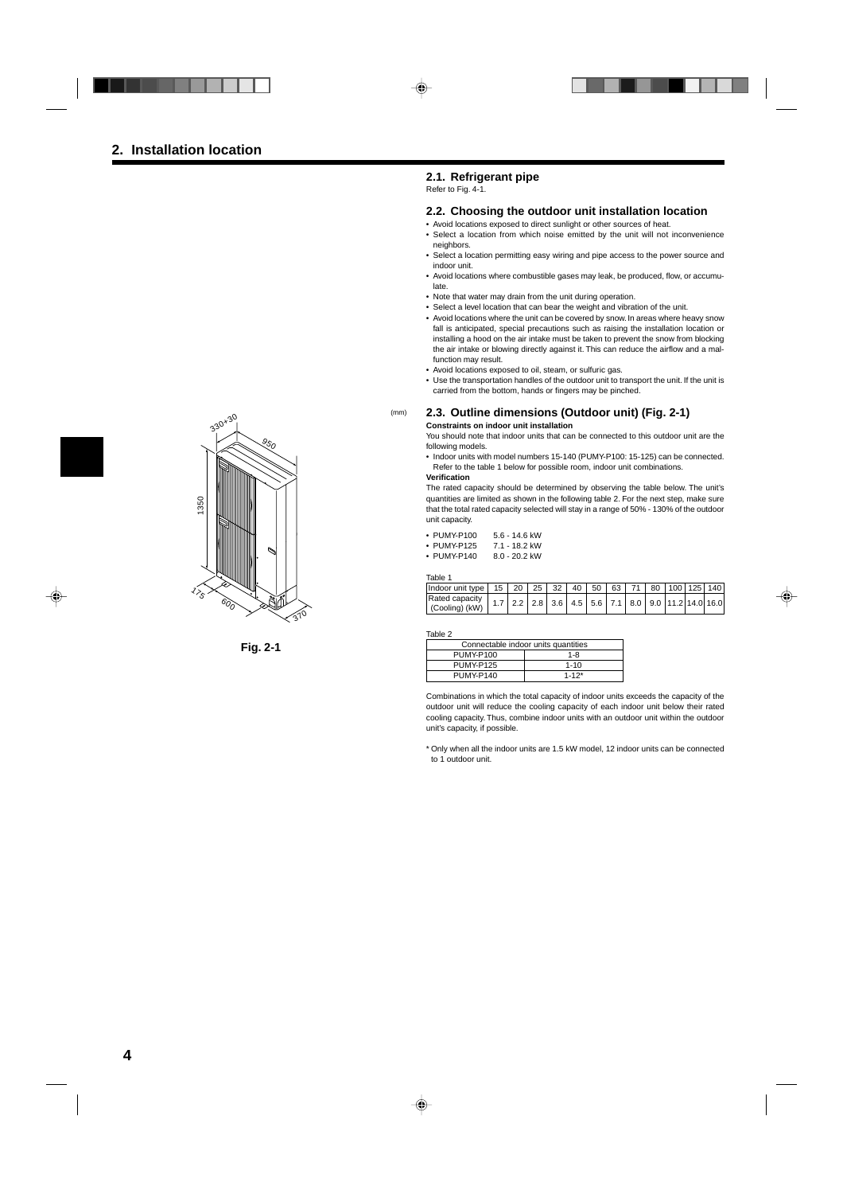#### **2.1. Refrigerant pipe**

Refer to Fig. 4-1.

#### **2.2. Choosing the outdoor unit installation location**

- Avoid locations exposed to direct sunlight or other sources of heat.
- Select a location from which noise emitted by the unit will not inconvenience neighbors.
- Select a location permitting easy wiring and pipe access to the power source and indoor unit.
- Avoid locations where combustible gases may leak, be produced, flow, or accumulate.
- Note that water may drain from the unit during operation.
- Select a level location that can bear the weight and vibration of the unit.
- Avoid locations where the unit can be covered by snow. In areas where heavy snow fall is anticipated, special precautions such as raising the installation location or installing a hood on the air intake must be taken to prevent the snow from blocking the air intake or blowing directly against it. This can reduce the airflow and a malfunction may result.
- Avoid locations exposed to oil, steam, or sulfuric gas.
- Use the transportation handles of the outdoor unit to transport the unit. If the unit is carried from the bottom, hands or fingers may be pinched.

#### **2.3. Outline dimensions (Outdoor unit) (Fig. 2-1)**

#### **Constraints on indoor unit installation**

You should note that indoor units that can be connected to this outdoor unit are the following models.

• Indoor units with model numbers 15-140 (PUMY-P100: 15-125) can be connected. Refer to the table 1 below for possible room, indoor unit combinations.

#### **Verification**

(mm)

The rated capacity should be determined by observing the table below. The unit's quantities are limited as shown in the following table 2. For the next step, make sure that the total rated capacity selected will stay in a range of 50% - 130% of the outdoor unit capacity.

| • PUMY-P100 | 5.6 - 14.6 kW |
|-------------|---------------|
|             |               |

- PUMY-P125 7.1 18.2 kW
- PUMY-P140 8.0 20.2 kW

| Table 1                                                                           |  |  |  |  |  |  |  |  |                                                                            |  |  |
|-----------------------------------------------------------------------------------|--|--|--|--|--|--|--|--|----------------------------------------------------------------------------|--|--|
| l Indoor unit tvpe   15   20   25   32   40   50   63   71   80   100   125   140 |  |  |  |  |  |  |  |  |                                                                            |  |  |
| Rated capacity<br>(Cooling) (kW)                                                  |  |  |  |  |  |  |  |  | $1.7$   2.2   2.8   3.6   4.5   5.6   7.1   8.0   9.0   11.2   14.0   16.0 |  |  |

Table 2

| Connectable indoor units quantities |           |  |  |  |
|-------------------------------------|-----------|--|--|--|
| <b>PUMY-P100</b>                    | $1 - 8$   |  |  |  |
| PUMY-P125                           | $1 - 10$  |  |  |  |
| <b>PUMY-P140</b>                    | $1 - 12*$ |  |  |  |

Combinations in which the total capacity of indoor units exceeds the capacity of the outdoor unit will reduce the cooling capacity of each indoor unit below their rated cooling capacity. Thus, combine indoor units with an outdoor unit within the outdoor unit's capacity, if possible.

\* Only when all the indoor units are 1.5 kW model, 12 indoor units can be connected to 1 outdoor unit.



**Fig. 2-1**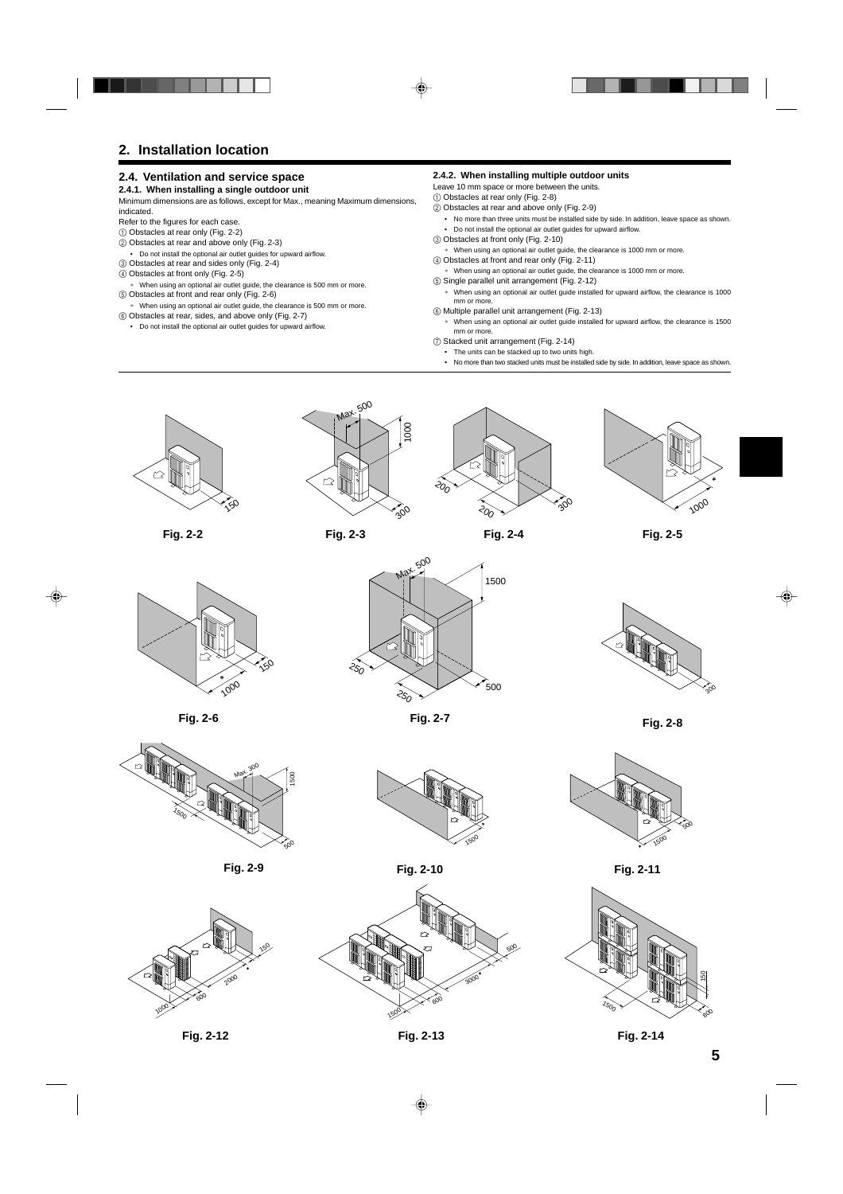# **2. Installation location**

#### **2.4. Ventilation and service space**

#### **2.4.1. When installing a single outdoor unit**

Minimum dimensions are as follows, except for Max., meaning Maximum dimensions, indicated.

- Refer to the figures for each case.
- 1 Obstacles at rear only (Fig. 2-2)
- 2 Obstacles at rear and above only (Fig. 2-3)
- Do not install the optional air outlet guides for upward airflow.
- 3 Obstacles at rear and sides only (Fig. 2-4) 4 Obstacles at front only (Fig. 2-5)
- When using an optional air outlet guide, the clearance is 500 mm or more. 5 Obstacles at front and rear only (Fig. 2-6)
- ∗ When using an optional air outlet guide, the clearance is 500 mm or more. 6 Obstacles at rear, sides, and above only (Fig. 2-7)
- Do not install the optional air outlet guides for upward airflow.

#### **2.4.2. When installing multiple outdoor units**

- Leave 10 mm space or more between the units.
- 1 Obstacles at rear only (Fig. 2-8)
- 2 Obstacles at rear and above only (Fig. 2-9)
	- No more than three units must be installed side by side. In addition, leave space as shown. • Do not install the optional air outlet guides for upward airflow.
- 3 Obstacles at front only (Fig. 2-10)
- ∗ When using an optional air outlet guide, the clearance is 1000 mm or more.
- 4 Obstacles at front and rear only (Fig. 2-11)
- When using an optional air outlet guide, the clearance is 1000 mm or more. 5 Single parallel unit arrangement (Fig. 2-12)
- ∗ When using an optional air outlet guide installed for upward airflow, the clearance is 1000 mm or more.
- 6 Multiple parallel unit arrangement (Fig. 2-13)
- ∗ When using an optional air outlet guide installed for upward airflow, the clearance is 1500 mm or more.
- 7 Stacked unit arrangement (Fig. 2-14)
	- The units can be stacked up to two units high.
	- No more than two stacked units must be installed side by side. In addition, leave space as shown.



**Fig. 2-2 Fig. 2-4 Fig. 2-5**



**Fig. 2-3**

२०,





1500

500

**Fig. 2-7 Fig. 2-8**

300



**Fig. 2-6**





રે $\delta$ 

Max. 500

**Fig. 2-9 Fig. 2-10 Fig. 2-11**





1500 500



**5**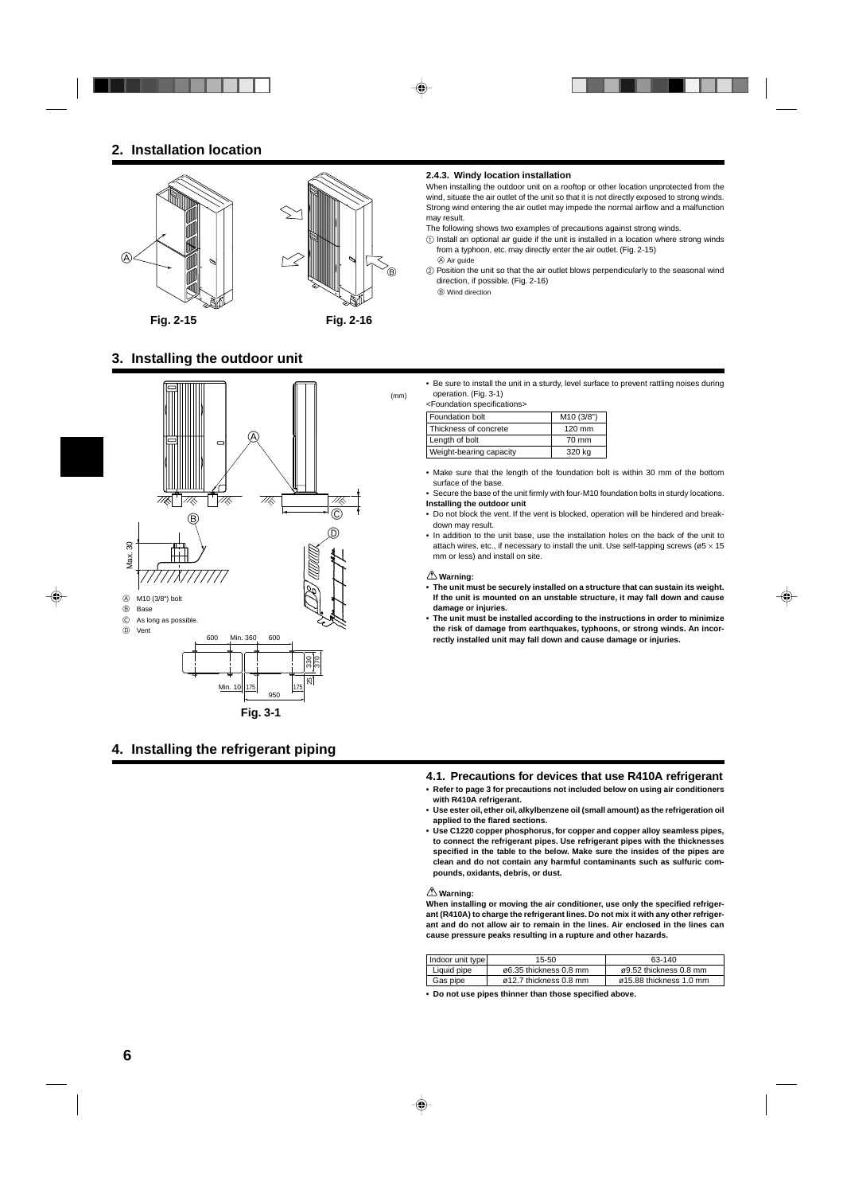

# **3. Installing the outdoor unit**



# **4. Installing the refrigerant piping**

#### **2.4.3. Windy location installation**

When installing the outdoor unit on a rooftop or other location unprotected from the wind, situate the air outlet of the unit so that it is not directly exposed to strong winds. Strong wind entering the air outlet may impede the normal airflow and a malfunction may result.

- The following shows two examples of precautions against strong winds.
- 1 Install an optional air guide if the unit is installed in a location where strong winds from a typhoon, etc. may directly enter the air outlet. (Fig. 2-15) A Air guide
- 2 Position the unit so that the air outlet blows perpendicularly to the seasonal wind direction, if possible. (Fig. 2-16)

B Wind direction

• Be sure to install the unit in a sturdy, level surface to prevent rattling noises during operation. (Fig. 3-1)

<Foundation specifications>

| Foundation bolt         | M10 (3/8") |
|-------------------------|------------|
| Thickness of concrete   | 120 mm     |
| Length of bolt          | 70 mm      |
| Weight-bearing capacity | 320 kg     |

- Make sure that the length of the foundation bolt is within 30 mm of the bottom surface of the base.
- Secure the base of the unit firmly with four-M10 foundation bolts in sturdy locations. **Installing the outdoor unit**
- Do not block the vent. If the vent is blocked, operation will be hindered and breakdown may result.
- In addition to the unit base, use the installation holes on the back of the unit to attach wires, etc., if necessary to install the unit. Use self-tapping screws ( $\varnothing$ 5 × 15 mm or less) and install on site.

#### **Warning:**

- **• The unit must be securely installed on a structure that can sustain its weight. If the unit is mounted on an unstable structure, it may fall down and cause damage or injuries.**
- **• The unit must be installed according to the instructions in order to minimize the risk of damage from earthquakes, typhoons, or strong winds. An incorrectly installed unit may fall down and cause damage or injuries.**

#### **4.1. Precautions for devices that use R410A refrigerant**

- **• Refer to page 3 for precautions not included below on using air conditioners with R410A refrigerant.**
- **• Use ester oil, ether oil, alkylbenzene oil (small amount) as the refrigeration oil applied to the flared sections.**
- **• Use C1220 copper phosphorus, for copper and copper alloy seamless pipes, to connect the refrigerant pipes. Use refrigerant pipes with the thicknesses specified in the table to the below. Make sure the insides of the pipes are clean and do not contain any harmful contaminants such as sulfuric compounds, oxidants, debris, or dust.**

#### **Warning:**

**When installing or moving the air conditioner, use only the specified refrigerant (R410A) to charge the refrigerant lines. Do not mix it with any other refrigerant and do not allow air to remain in the lines. Air enclosed in the lines can cause pressure peaks resulting in a rupture and other hazards.**

| Indoor unit type | 15-50                               | 63-140                              |
|------------------|-------------------------------------|-------------------------------------|
| Liquid pipe      | $\varnothing$ 6.35 thickness 0.8 mm | $\varnothing$ 9.52 thickness 0.8 mm |
| Gas pipe         | ø12.7 thickness 0.8 mm              | ø15.88 thickness 1.0 mm             |

**• Do not use pipes thinner than those specified above.**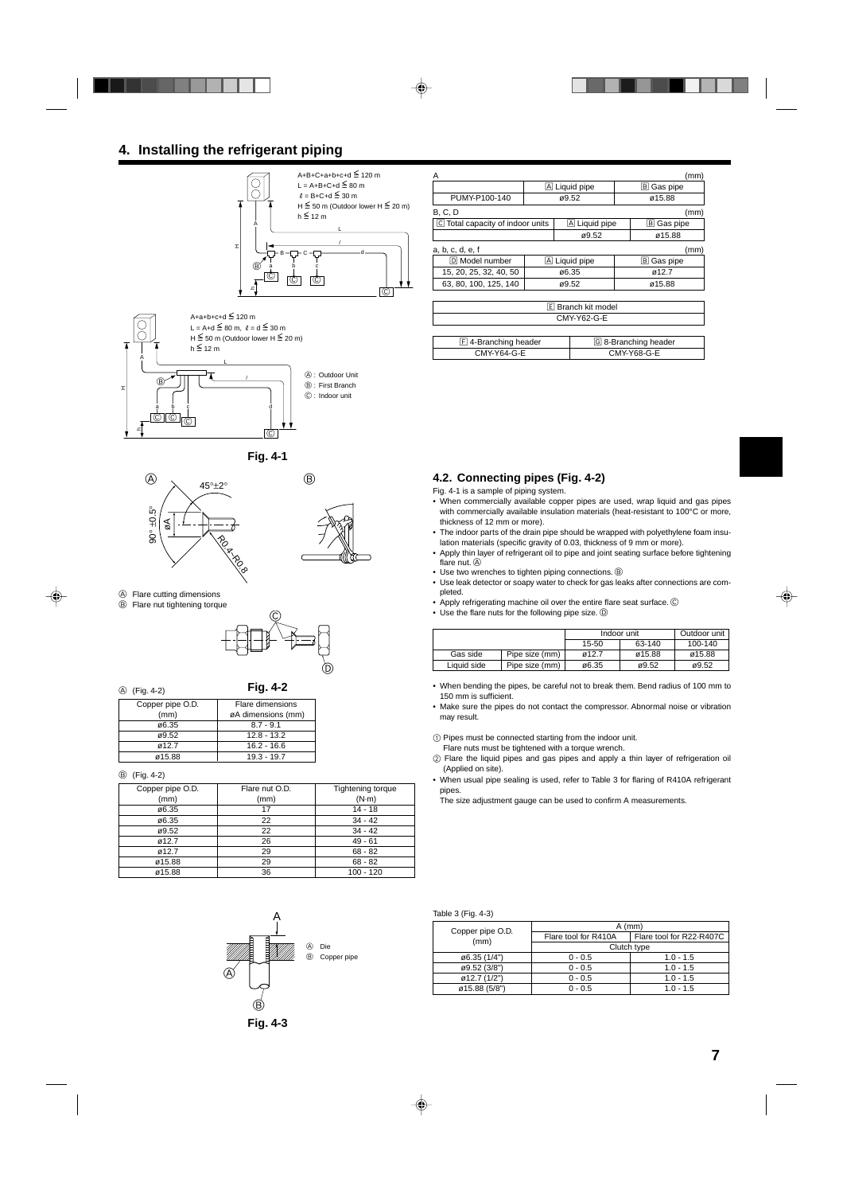# **4. Installing the refrigerant piping**





 $^{\circ}$ 



- 
- A Flare cutting dimensions



A (Fig. 4-2)

H

h

**Fig. 4-2**

| Copper pipe O.D. | Flare dimensions   |  |  |
|------------------|--------------------|--|--|
| (mm)             | øA dimensions (mm) |  |  |
| ø6.35            | $8.7 - 9.1$        |  |  |
| ø9.52            | $12.8 - 13.2$      |  |  |
| ø12.7            | $16.2 - 16.6$      |  |  |
| ø15.88           | $19.3 - 19.7$      |  |  |

B (Fig. 4-2)

| Copper pipe O.D. | Flare nut O.D. | Tightening torque |
|------------------|----------------|-------------------|
| (mm)             | (mm)           | $(N-m)$           |
| ø6.35            | 17             | $14 - 18$         |
| ø6.35            | 22             | $34 - 42$         |
| ø9.52            | 22             | $34 - 42$         |
| ø12.7            | 26             | $49 - 61$         |
| ø12.7            | 29             | $68 - 82$         |
| ø15.88           | 29             | $68 - 82$         |
| ø15.88           | 36             | $100 - 120$       |



| А                                |               |       |                    |        | (mm)                 |
|----------------------------------|---------------|-------|--------------------|--------|----------------------|
|                                  | A Liquid pipe |       |                    |        | B Gas pipe           |
| PUMY-P100-140                    |               | ø9.52 |                    |        | ø15.88               |
| <b>B, C, D</b>                   |               |       |                    |        | (mm)                 |
| C Total capacity of indoor units |               |       | A Liquid pipe      |        | B Gas pipe           |
|                                  |               |       | ø9.52              |        | ø15.88               |
| a, b, c, d, e, f                 |               |       |                    |        | (mm)                 |
| D Model number                   |               |       | A Liquid pipe      |        | B Gas pipe           |
| 15, 20, 25, 32, 40, 50           |               | ø6.35 |                    |        | ø12.7                |
| 63, 80, 100, 125, 140            |               | ø9.52 |                    | ø15.88 |                      |
|                                  |               |       |                    |        |                      |
|                                  |               |       | E Branch kit model |        |                      |
| CMY-Y62-G-E                      |               |       |                    |        |                      |
|                                  |               |       |                    |        |                      |
| $E$ 4-Branching header           |               |       |                    |        | G 8-Branching header |
| CMY-Y64-G-E                      |               |       |                    |        | CMY-Y68-G-E          |

#### **4.2. Connecting pipes (Fig. 4-2)**

- Fig. 4-1 is a sample of piping system.
- When commercially available copper pipes are used, wrap liquid and gas pipes with commercially available insulation materials (heat-resistant to 100°C or more, thickness of 12 mm or more).
- The indoor parts of the drain pipe should be wrapped with polyethylene foam insulation materials (specific gravity of 0.03, thickness of 9 mm or more).
- Apply thin layer of refrigerant oil to pipe and joint seating surface before tightening flare nut. (A)
- Use two wrenches to tighten piping connections.  $\circledB$
- Use leak detector or soapy water to check for gas leaks after connections are completed.
- Apply refrigerating machine oil over the entire flare seat surface. C
- Use the flare nuts for the following pipe size.  $\circledD$

|             |                |       | Indoor unit | Outdoor unit |
|-------------|----------------|-------|-------------|--------------|
|             |                | 15-50 | 63-140      | 100-140      |
| Gas side    | Pipe size (mm) | ø12.7 | ø15.88      | ø15.88       |
| Liquid side | Pipe size (mm) | ø6.35 | ø9.52       | ø9.52        |

• When bending the pipes, be careful not to break them. Bend radius of 100 mm to 150 mm is sufficient.

• Make sure the pipes do not contact the compressor. Abnormal noise or vibration may result.

1 Pipes must be connected starting from the indoor unit.

- Flare nuts must be tightened with a torque wrench.
- 2 Flare the liquid pipes and gas pipes and apply a thin layer of refrigeration oil (Applied on site).
- When usual pipe sealing is used, refer to Table 3 for flaring of R410A refrigerant pipes.

The size adjustment gauge can be used to confirm A measurements.

#### Table 3 (Fig. 4-3)

| Copper pipe O.D. | $A$ (mm)             |                          |  |  |  |
|------------------|----------------------|--------------------------|--|--|--|
| (mm)             | Flare tool for R410A | Flare tool for R22-R407C |  |  |  |
|                  | Clutch type          |                          |  |  |  |
| ø6.35 (1/4")     | $0 - 0.5$            | $1.0 - 1.5$              |  |  |  |
| ø9.52 (3/8")     | $0 - 0.5$            | $1.0 - 1.5$              |  |  |  |
| ø12.7 (1/2")     | $0 - 0.5$            | $1.0 - 1.5$              |  |  |  |
| ø15.88 (5/8")    | $0 - 0.5$            | $1.0 - 1.5$              |  |  |  |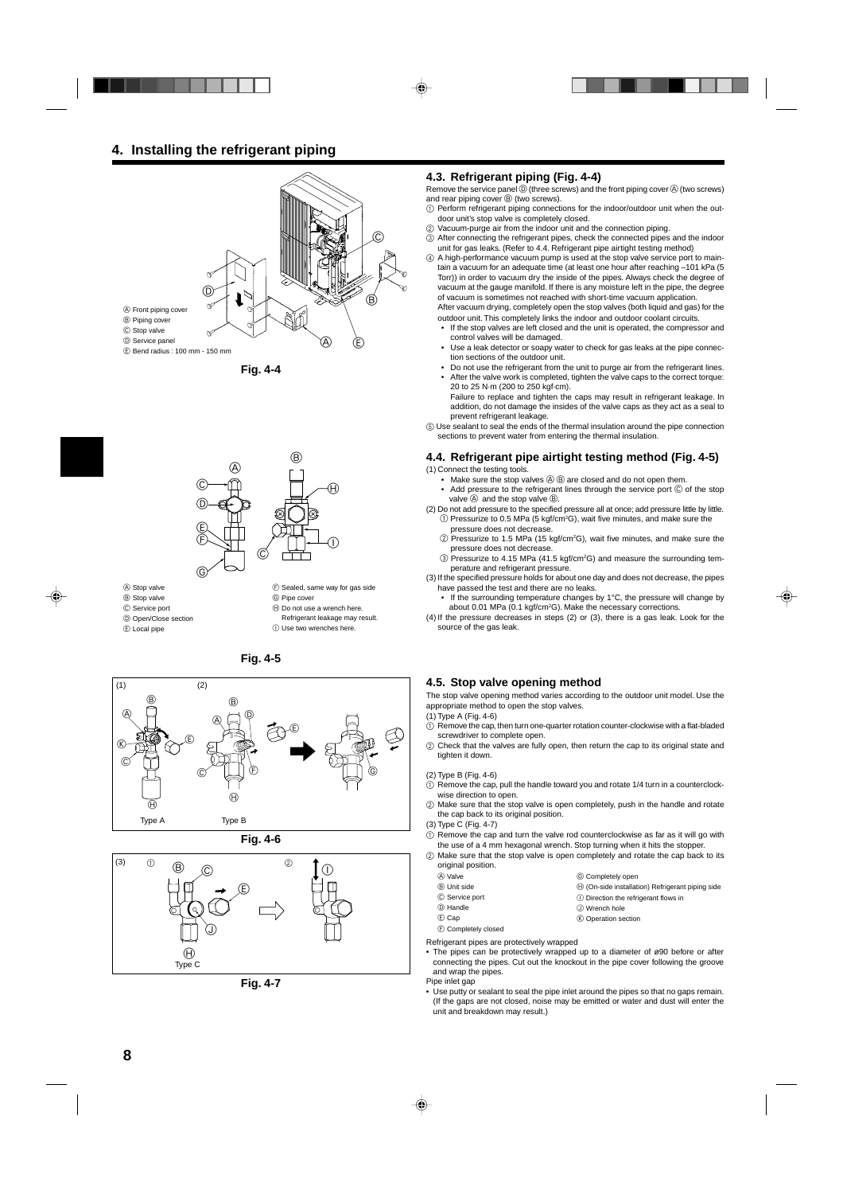# **4. Installing the refrigerant piping**







- A Stop valve
- B Stop valve
- C Service port
- D Open/Close section
- E Local pipe

 $\circledR$  Sealed, same way for gas side G Pipe cover

- $\oplus$  Do not use a wrench here.
- Refrigerant leakage may result.
- I Use two wrenches here.









**Fig. 4-7**

#### **4.3. Refrigerant piping (Fig. 4-4)**

Remove the service panel  $\mathbb D$  (three screws) and the front piping cover  $\mathbb \Theta$  (two screws) and rear piping cover **B** (two screws).

- 1 Perform refrigerant piping connections for the indoor/outdoor unit when the outdoor unit's stop valve is completely closed.
- 2 Vacuum-purge air from the indoor unit and the connection piping.
- 3 After connecting the refrigerant pipes, check the connected pipes and the indoor unit for gas leaks. (Refer to 4.4. Refrigerant pipe airtight testing method)

4 A high-performance vacuum pump is used at the stop valve service port to maintain a vacuum for an adequate time (at least one hour after reaching –101 kPa (5 Torr)) in order to vacuum dry the inside of the pipes. Always check the degree of vacuum at the gauge manifold. If there is any moisture left in the pipe, the degree of vacuum is sometimes not reached with short-time vacuum application.

After vacuum drying, completely open the stop valves (both liquid and gas) for the outdoor unit. This completely links the indoor and outdoor coolant circuits.

- If the stop valves are left closed and the unit is operated, the compressor and control valves will be damaged.
- Use a leak detector or soapy water to check for gas leaks at the pipe connection sections of the outdoor unit.
- Do not use the refrigerant from the unit to purge air from the refrigerant lines. After the valve work is completed, tighten the valve caps to the correct torque: 20 to 25 N·m (200 to 250 kgf·cm).

Failure to replace and tighten the caps may result in refrigerant leakage. In addition, do not damage the insides of the valve caps as they act as a seal to prevent refrigerant leakage.

5 Use sealant to seal the ends of the thermal insulation around the pipe connection sections to prevent water from entering the thermal insulation.

#### **4.4. Refrigerant pipe airtight testing method (Fig. 4-5)** (1) Connect the testing tools.

- Make sure the stop valves  $\textcircled{a} \circled{b}$  are closed and do not open them.
- Add pressure to the refrigerant lines through the service port  $\copyright$  of the stop valve  $\circledA$  and the stop valve  $\circledB$ .
- (2) Do not add pressure to the specified pressure all at once; add pressure little by little.  $\textcircled{\tiny{1}}$  Pressurize to 0.5 MPa (5 kgf/cm<sup>2</sup>G), wait five minutes, and make sure the pressure does not decrease.
	- $\textcircled{2}$  Pressurize to 1.5 MPa (15 kgf/cm<sup>2</sup>G), wait five minutes, and make sure the pressure does not decrease.
	- 3 Pressurize to 4.15 MPa (41.5 kgf/cm2G) and measure the surrounding temperature and refrigerant pressure.
- (3) If the specified pressure holds for about one day and does not decrease, the pipes have passed the test and there are no leaks.
	- If the surrounding temperature changes by 1°C, the pressure will change by about 0.01 MPa (0.1 kgf/cm<sup>2</sup>G). Make the necessary corrections.
- (4) If the pressure decreases in steps (2) or (3), there is a gas leak. Look for the source of the gas leak.

#### **4.5. Stop valve opening method**

The stop valve opening method varies according to the outdoor unit model. Use the appropriate method to open the stop valves.

- (1) Type A (Fig. 4-6)
- 1 Remove the cap, then turn one-quarter rotation counter-clockwise with a flat-bladed screwdriver to complete open.
- 2 Check that the valves are fully open, then return the cap to its original state and tighten it down.

#### (2) Type B (Fig. 4-6)

- $\odot$  Remove the cap, pull the handle toward you and rotate 1/4 turn in a counterclockwise direction to open.
- 2 Make sure that the stop valve is open completely, push in the handle and rotate the cap back to its original position.
- (3) Type C (Fig. 4-7)
- 1 Remove the cap and turn the valve rod counterclockwise as far as it will go with the use of a 4 mm hexagonal wrench. Stop turning when it hits the stopper.
- 2 Make sure that the stop valve is open completely and rotate the cap back to its original position.

G Completely open

J Wrench hole K Operation section

 $\Theta$  (On-side installation) Refrigerant piping side **1** Direction the refrigerant flows in

- A Valve
- B Unit side
- 
- C Service port
- D Handle
- E Cap
- F Completely closed

Refrigerant pipes are protectively wrapped

- The pipes can be protectively wrapped up to a diameter of  $\alpha$ 90 before or after connecting the pipes. Cut out the knockout in the pipe cover following the groove and wrap the pipes.
- Pipe inlet gap
- Use putty or sealant to seal the pipe inlet around the pipes so that no gaps remain. (If the gaps are not closed, noise may be emitted or water and dust will enter the unit and breakdown may result.)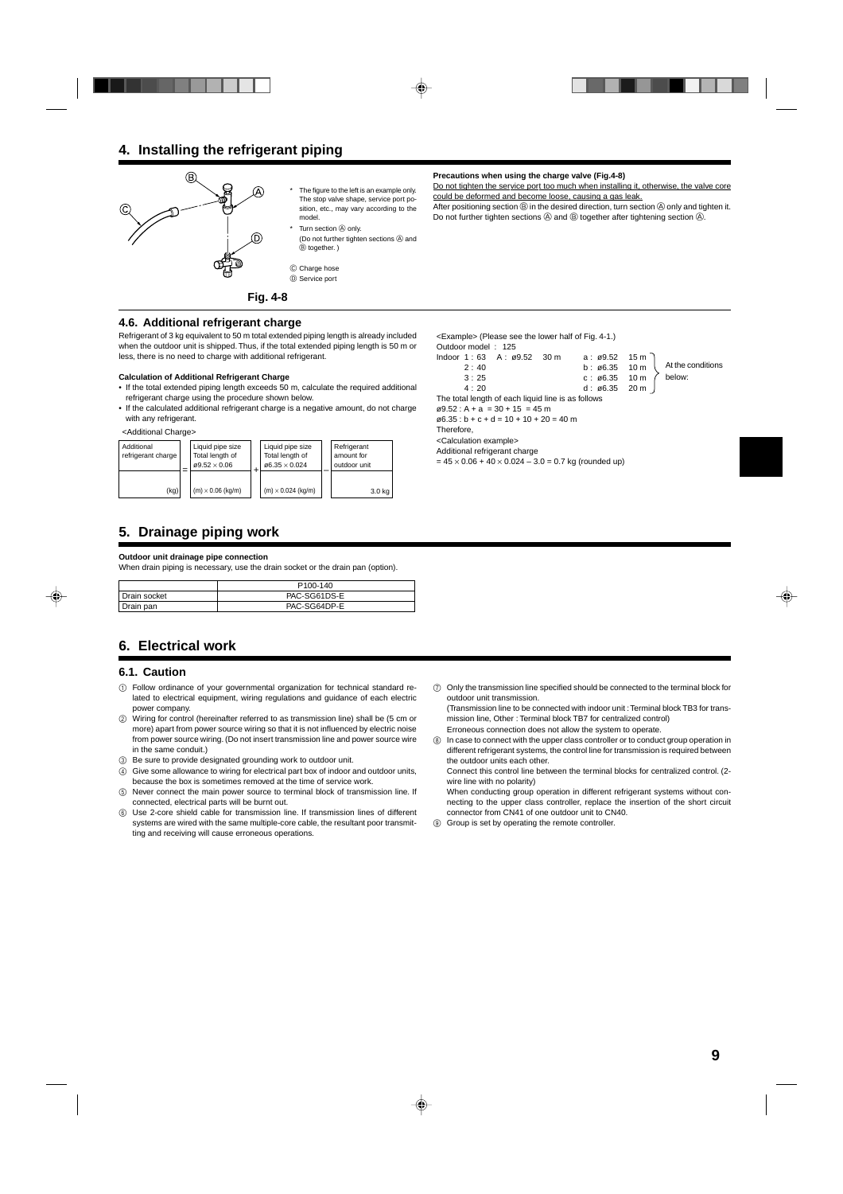# **4. Installing the refrigerant piping**



The figure to the left is an example only. The stop valve shape, service port position, etc., may vary according to the model. Turn section  $\textcircled{a}$  only.

- (Do not further tighten sections  $\circledA$  and B together. )
- $©$  Charge hose D Service port

**Fig. 4-8**

## **4.6. Additional refrigerant charge**

Refrigerant of 3 kg equivalent to 50 m total extended piping length is already included when the outdoor unit is shipped. Thus, if the total extended piping length is 50 m or less, there is no need to charge with additional refrigerant.

#### **Calculation of Additional Refrigerant Charge**

- If the total extended piping length exceeds 50 m, calculate the required additional refrigerant charge using the procedure shown below.
- If the calculated additional refrigerant charge is a negative amount, do not charge with any refrigerant.



# **5. Drainage piping work**

#### **Outdoor unit drainage pipe connection**

When drain piping is necessary, use the drain socket or the drain pan (option).

|              | P <sub>100</sub> -140 |
|--------------|-----------------------|
| Drain socket | PAC-SG61DS-E          |
| Drain pan    | PAC-SG64DP-E          |

# **6. Electrical work**

#### **6.1. Caution**

- 1 Follow ordinance of your governmental organization for technical standard related to electrical equipment, wiring regulations and guidance of each electric power company.
- 2 Wiring for control (hereinafter referred to as transmission line) shall be (5 cm or more) apart from power source wiring so that it is not influenced by electric noise from power source wiring. (Do not insert transmission line and power source wire in the same conduit.)
- 3 Be sure to provide designated grounding work to outdoor unit.
- 4 Give some allowance to wiring for electrical part box of indoor and outdoor units, because the box is sometimes removed at the time of service work.
- Never connect the main power source to terminal block of transmission line. If connected, electrical parts will be burnt out.
- 6 Use 2-core shield cable for transmission line. If transmission lines of different systems are wired with the same multiple-core cable, the resultant poor transmitting and receiving will cause erroneous operations.

**Precautions when using the charge valve (Fig.4-8)**

Do not tighten the service port too much when installing it, otherwise, the valve core could be deformed and become loose, causing a gas leak.

After positioning section  $\circledB$  in the desired direction, turn section  $\circledA$  only and tighten it. Do not further tighten sections  $\textcircled{A}$  and  $\textcircled{B}$  together after tightening section  $\textcircled{A}$ .

<Example> (Please see the lower half of Fig. 4-1.) Outdoor model : 125 Indoor 1 : 63 A : ø9.52 30 m a : ø9.52 15 m 2 : 40 b : ø6.35 10 m 3 : 25 c : ø6.35 10 m 4 : 20 d : ø6.35 20 m The total length of each liquid line is as follows  $\varnothing$ 9.52 : A + a = 30 + 15 = 45 m  $\varphi$ 6.35 : b + c + d = 10 + 10 + 20 = 40 m Therefore, <Calculation example> Additional refrigerant charge  $= 45 \times 0.06 + 40 \times 0.024 - 3.0 = 0.7$  kg (rounded up) At the conditions below:

7 Only the transmission line specified should be connected to the terminal block for outdoor unit transmission.

(Transmission line to be connected with indoor unit : Terminal block TB3 for transmission line, Other : Terminal block TB7 for centralized control)

Erroneous connection does not allow the system to operate.

In case to connect with the upper class controller or to conduct group operation in different refrigerant systems, the control line for transmission is required between the outdoor units each other.

Connect this control line between the terminal blocks for centralized control. (2 wire line with no polarity)

- When conducting group operation in different refrigerant systems without connecting to the upper class controller, replace the insertion of the short circuit connector from CN41 of one outdoor unit to CN40.
- 9 Group is set by operating the remote controller.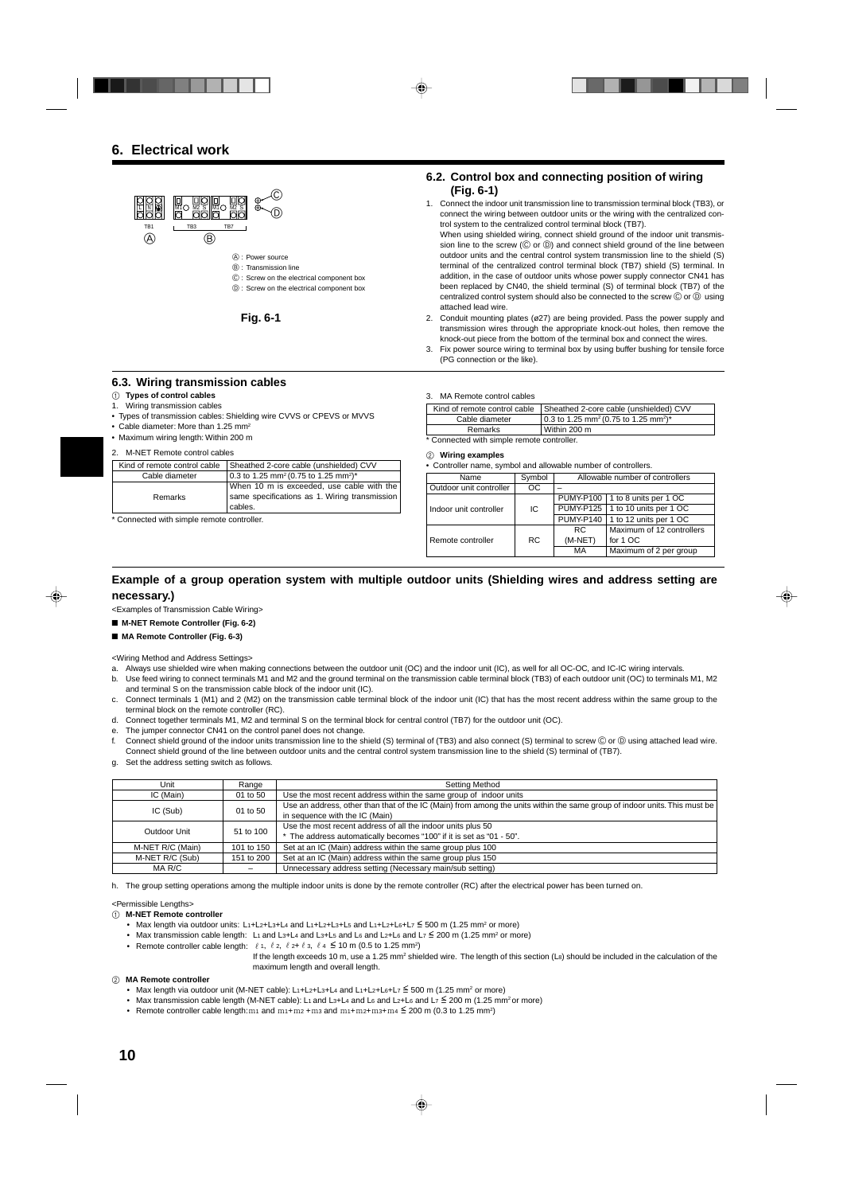

- A : Power source
- B : Transmission line
- C : Screw on the electrical component box
- D : Screw on the electrical component box

**Fig. 6-1**

• Types of transmission cables: Shielding wire CVVS or CPEVS or MVVS

#### **6.2. Control box and connecting position of wiring (Fig. 6-1)**

1. Connect the indoor unit transmission line to transmission terminal block (TB3), or connect the wiring between outdoor units or the wiring with the centralized control system to the centralized control terminal block (TB7).

When using shielded wiring, connect shield ground of the indoor unit transmission line to the screw ( $\copyright$  or  $\copyright$ ) and connect shield ground of the line between outdoor units and the central control system transmission line to the shield (S) terminal of the centralized control terminal block (TB7) shield (S) terminal. In addition, in the case of outdoor units whose power supply connector CN41 has been replaced by CN40, the shield terminal (S) of terminal block (TB7) of the centralized control system should also be connected to the screw  $\textcircled{c}$  or  $\textcircled{b}$  using attached lead wire.

- 2. Conduit mounting plates (ø27) are being provided. Pass the power supply and transmission wires through the appropriate knock-out holes, then remove the knock-out piece from the bottom of the terminal box and connect the wires.
- Fix power source wiring to terminal box by using buffer bushing for tensile force (PG connection or the like).

#### 3. MA Remote control cables

|                | Kind of remote control cable   Sheathed 2-core cable (unshielded) CVV       |
|----------------|-----------------------------------------------------------------------------|
| Cable diameter | $10.3$ to 1.25 mm <sup>2</sup> (0.75 to 1.25 mm <sup>2</sup> ) <sup>*</sup> |
| Remarks        | Within 200 m                                                                |

\* Connected with simple remote controller.

#### 2 **Wiring examples**

| • Controller name, symbol and allowable number of controllers. |  |
|----------------------------------------------------------------|--|
|----------------------------------------------------------------|--|

| Kind of remote control cable             | Sheathed 2-core cable (unshielded) CVV                                   |  |  |
|------------------------------------------|--------------------------------------------------------------------------|--|--|
| Cable diameter                           | 0.3 to 1.25 mm <sup>2</sup> (0.75 to 1.25 mm <sup>2</sup> ) <sup>*</sup> |  |  |
|                                          | When 10 m is exceeded, use cable with the                                |  |  |
| Remarks                                  | same specifications as 1. Wiring transmission                            |  |  |
|                                          | cables.                                                                  |  |  |
| Connected with simple remote controller. |                                                                          |  |  |

**6.3. Wiring transmission cables**

2. M-NET Remote control cables

• Cable diameter: More than 1.25 mm<sup>2</sup> • Maximum wiring length: Within 200 m

1 **Types of control cables** 1. Wiring transmission cables

| Name                    | Symbol    | Allowable number of controllers |                                    |  |  |
|-------------------------|-----------|---------------------------------|------------------------------------|--|--|
| Outdoor unit controller | ОC        |                                 |                                    |  |  |
|                         |           |                                 | PUMY-P100   1 to 8 units per 1 OC  |  |  |
| Indoor unit controller  | IC        |                                 | PUMY-P125   1 to 10 units per 1 OC |  |  |
|                         |           |                                 | PUMY-P140   1 to 12 units per 1 OC |  |  |
|                         |           | RC.                             | Maximum of 12 controllers          |  |  |
| Remote controller       | <b>RC</b> | $(M-NET)$<br>for 1 OC           |                                    |  |  |
|                         |           | MA                              | Maximum of 2 per group             |  |  |

#### **Example of a group operation system with multiple outdoor units (Shielding wires and address setting are necessary.)**

<Examples of Transmission Cable Wiring>

- **M-NET Remote Controller (Fig. 6-2)**
- **MA Remote Controller (Fig. 6-3)**

<Wiring Method and Address Settings>

- a. Always use shielded wire when making connections between the outdoor unit (OC) and the indoor unit (IC), as well for all OC-OC, and IC-IC wiring intervals.
- b. Use feed wiring to connect terminals M1 and M2 and the ground terminal on the transmission cable terminal block (TB3) of each outdoor unit (OC) to terminals M1, M2 and terminal S on the transmission cable block of the indoor unit (IC).
- c. Connect terminals 1 (M1) and 2 (M2) on the transmission cable terminal block of the indoor unit (IC) that has the most recent address within the same group to the terminal block on the remote controller (RC).
- d. Connect together terminals M1, M2 and terminal S on the terminal block for central control (TB7) for the outdoor unit (OC).
- e. The jumper connector CN41 on the control panel does not change.
- f. Connect shield ground of the indoor units transmission line to the shield (S) terminal of (TB3) and also connect (S) terminal to screw © or © using attached lead wire. Connect shield ground of the line between outdoor units and the central control system transmission line to the shield (S) terminal of (TB7).
- g. Set the address setting switch as follows.

| Unit             | Range      | Setting Method                                                                                                                                              |
|------------------|------------|-------------------------------------------------------------------------------------------------------------------------------------------------------------|
| IC (Main)        | 01 to 50   | Use the most recent address within the same group of indoor units                                                                                           |
| IC (Sub)         | 01 to 50   | Use an address, other than that of the IC (Main) from among the units within the same group of indoor units. This must be<br>in sequence with the IC (Main) |
| Outdoor Unit     | 51 to 100  | Use the most recent address of all the indoor units plus 50<br>* The address automatically becomes "100" if it is set as "01 - 50".                         |
| M-NET R/C (Main) | 101 to 150 | Set at an IC (Main) address within the same group plus 100                                                                                                  |
| M-NET R/C (Sub)  | 151 to 200 | Set at an IC (Main) address within the same group plus 150                                                                                                  |
| MA R/C           |            | Unnecessary address setting (Necessary main/sub setting)                                                                                                    |

h. The group setting operations among the multiple indoor units is done by the remote controller (RC) after the electrical power has been turned on.

<Permissible Lengths>

#### 1 **M-NET Remote controller**

- Max length via outdoor units: L<sub>1</sub>+L<sub>2</sub>+L<sub>3</sub>+L<sub>4</sub> and L<sub>1</sub>+L<sub>2</sub>+L<sub>3</sub>+L<sub>5</sub> and L<sub>1</sub>+L<sub>2</sub>+L<sub>6</sub>+L<sub>7</sub>  $\leq$  500 m (1.25 mm<sup>2</sup> or more)
	- Max transmission cable length: L<sub>1</sub> and L<sub>3+L4</sub> and L<sub>3+L5</sub> and L<sub>2</sub> and L<sub>2+L6</sub> and L<sub>7</sub>  $\leq$  200 m (1.25 mm<sup>2</sup> or more)
- Remote controller cable length:  $\ell$  1,  $\ell$  2,  $\ell$  2+  $\ell$  3,  $\ell$  4  $\leq$  10 m (0.5 to 1.25 mm<sup>2</sup>)
	- If the length exceeds 10 m, use a 1.25 mm<sup>2</sup> shielded wire. The length of this section (La) should be included in the calculation of the maximum length and overall length.

#### 2 **MA Remote controller**

- Max length via outdoor unit (M-NET cable): L<sub>1+L2+L3+L4</sub> and L<sub>1+L2+L6+L7</sub>  $\leq$  500 m (1.25 mm<sup>2</sup> or more)
- Max transmission cable length (M-NET cable): L1 and L3+L4 and L6 and L2+L6 and L7  $\leq$  200 m (1.25 mm<sup>2</sup> or more)
- Remote controller cable length: $m_1$  and  $m_1+m_2+m_3$  and  $m_1+m_2+m_3+m_4 \stackrel{\leq}{=} 200$  m (0.3 to 1.25 mm<sup>2</sup>)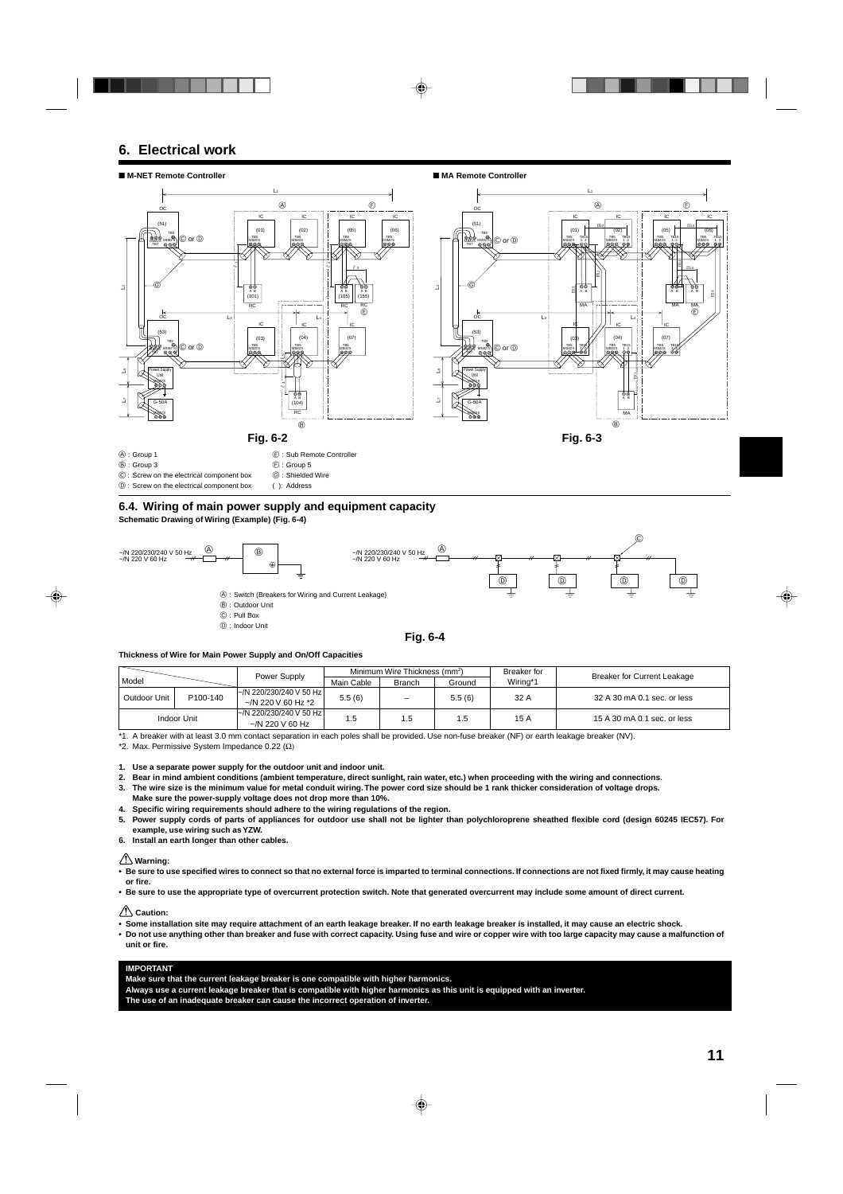# **6. Electrical work**



#### **6.4. Wiring of main power supply and equipment capacity Schematic Drawing of Wiring (Example) (Fig. 6-4)**



#### **Thickness of Wire for Main Power Supply and On/Off Capacities**

|              |          |                                                        |            | Minimum Wire Thickness (mm <sup>2</sup> ) |        | Breaker for | <b>Breaker for Current Leakage</b> |
|--------------|----------|--------------------------------------------------------|------------|-------------------------------------------|--------|-------------|------------------------------------|
| Model        |          | Power Supply                                           | Main Cable | Branch                                    | Ground | Wiring*1    |                                    |
| Outdoor Unit | P100-140 | l~/N 220/230/240 V 50 Hz l<br>$\sim$ /N 220 V 60 Hz *2 | 5.5(6)     | $\equiv$                                  | 5.5(6) | 32 A        | 32 A 30 mA 0.1 sec. or less        |
| Indoor Unit  |          | l~/N 220/230/240 V 50 Hz l<br>$\sim$ /N 220 V 60 Hz    | l .5       | 1.5                                       | 1.5    | 15 A        | 15 A 30 mA 0.1 sec. or less        |

\*1. A breaker with at least 3.0 mm contact separation in each poles shall be provided. Use non-fuse breaker (NF) or earth leakage breaker (NV).

\*2. Max. Permissive System Impedance 0.22  $(\Omega)$ 

**1. Use a separate power supply for the outdoor unit and indoor unit.**

**2. Bear in mind ambient conditions (ambient temperature, direct sunlight, rain water, etc.) when proceeding with the wiring and connections.**

**3. The wire size is the minimum value for metal conduit wiring. The power cord size should be 1 rank thicker consideration of voltage drops.**

**Make sure the power-supply voltage does not drop more than 10%.**

**4. Specific wiring requirements should adhere to the wiring regulations of the region.**

**5. Power supply cords of parts of appliances for outdoor use shall not be lighter than polychloroprene sheathed flexible cord (design 60245 IEC57). For example, use wiring such as YZW.**

**6. Install an earth longer than other cables.**

#### **Warning:**

**• Be sure to use specified wires to connect so that no external force is imparted to terminal connections. If connections are not fixed firmly, it may cause heating or fire.**

**• Be sure to use the appropriate type of overcurrent protection switch. Note that generated overcurrent may include some amount of direct current.**

 **Caution:**

**• Some installation site may require attachment of an earth leakage breaker. If no earth leakage breaker is installed, it may cause an electric shock.**

**• Do not use anything other than breaker and fuse with correct capacity. Using fuse and wire or copper wire with too large capacity may cause a malfunction of unit or fire.**

#### **IMPORTANT**

**Make sure that the current leakage breaker is one compatible with higher harmonics. Always use a current leakage breaker that is compatible with higher harmonics as this unit is equipped with an inverter. The use of an inadequate breaker can cause the incorrect operation of inverter.**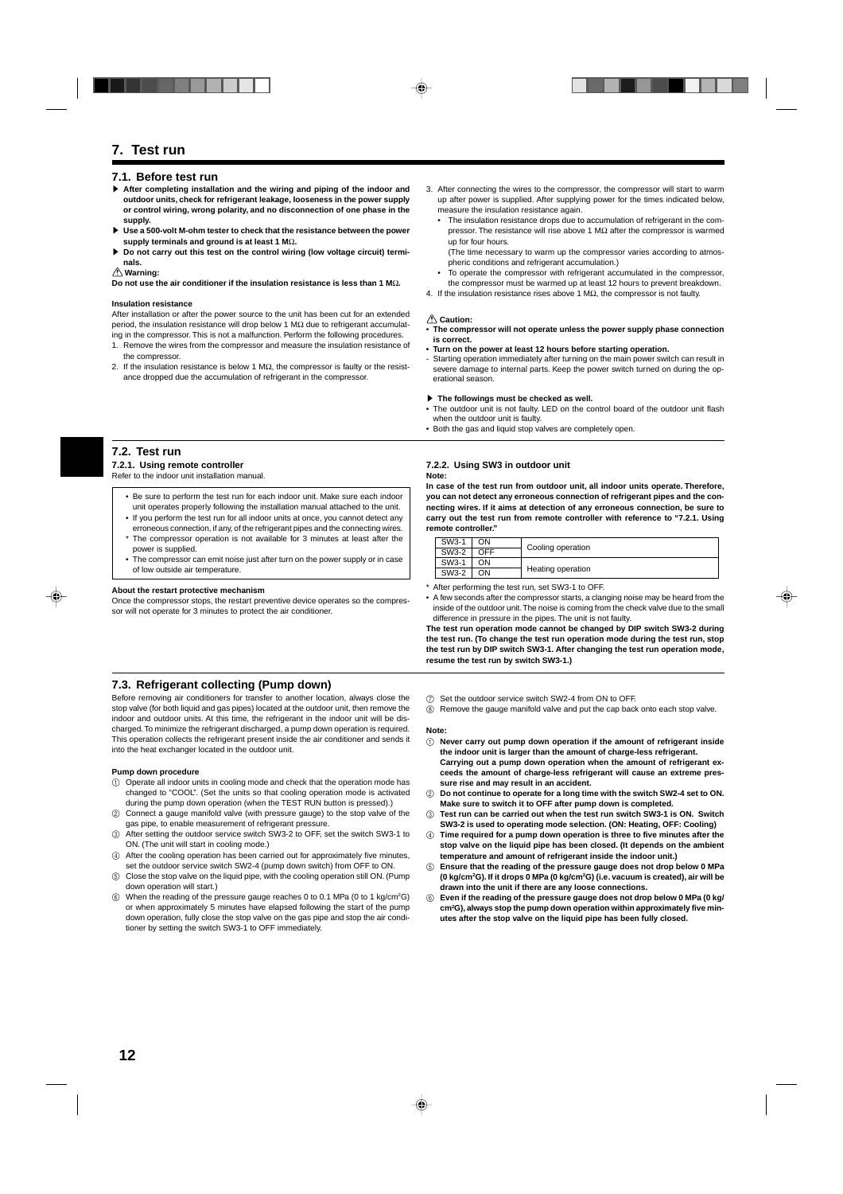# **7. Test run**

#### **7.1. Before test run**

- s **After completing installation and the wiring and piping of the indoor and outdoor units, check for refrigerant leakage, looseness in the power supply or control wiring, wrong polarity, and no disconnection of one phase in the supply.**
- $\blacktriangleright$  **Use a 500-volt M-ohm tester to check that the resistance between the power supply terminals and ground is at least 1 M**Ω**.**
- Do not carry out this test on the control wiring (low voltage circuit) termi**nals.**

#### **Warning:**

**Do not use the air conditioner if the insulation resistance is less than 1 M**Ω**.**

#### **Insulation resistance**

After installation or after the power source to the unit has been cut for an extended period, the insulation resistance will drop below 1 MΩ due to refrigerant accumulating in the compressor. This is not a malfunction. Perform the following procedures.

- 1. Remove the wires from the compressor and measure the insulation resistance of the compressor.
- 2. If the insulation resistance is below 1 M $\Omega$ , the compressor is faulty or the resistance dropped due the accumulation of refrigerant in the compressor.

#### **7.2. Test run**

#### **7.2.1. Using remote controller**

Refer to the indoor unit installation manual.

- Be sure to perform the test run for each indoor unit. Make sure each indoor unit operates properly following the installation manual attached to the unit.
- If you perform the test run for all indoor units at once, you cannot detect any erroneous connection, if any, of the refrigerant pipes and the connecting wires.
- \* The compressor operation is not available for 3 minutes at least after the power is supplied.
- The compressor can emit noise just after turn on the power supply or in case of low outside air temperature.

#### **About the restart protective mechanism**

Once the compressor stops, the restart preventive device operates so the compressor will not operate for 3 minutes to protect the air conditioner.

#### **7.3. Refrigerant collecting (Pump down)**

Before removing air conditioners for transfer to another location, always close the stop valve (for both liquid and gas pipes) located at the outdoor unit, then remove the indoor and outdoor units. At this time, the refrigerant in the indoor unit will be discharged. To minimize the refrigerant discharged, a pump down operation is required. This operation collects the refrigerant present inside the air conditioner and sends it into the heat exchanger located in the outdoor unit.

#### **Pump down procedure**

- 1 Operate all indoor units in cooling mode and check that the operation mode has changed to "COOL". (Set the units so that cooling operation mode is activated during the pump down operation (when the TEST RUN button is pressed).)
- 2 Connect a gauge manifold valve (with pressure gauge) to the stop valve of the gas pipe, to enable measurement of refrigerant pressure.
- 3 After setting the outdoor service switch SW3-2 to OFF, set the switch SW3-1 to ON. (The unit will start in cooling mode.)
- 4 After the cooling operation has been carried out for approximately five minutes, set the outdoor service switch SW2-4 (pump down switch) from OFF to ON.
- 5 Close the stop valve on the liquid pipe, with the cooling operation still ON. (Pump down operation will start.)
- $6$  When the reading of the pressure gauge reaches 0 to 0.1 MPa (0 to 1 kg/cm<sup>2</sup>G) or when approximately 5 minutes have elapsed following the start of the pump down operation, fully close the stop valve on the gas pipe and stop the air conditioner by setting the switch SW3-1 to OFF immediately.
- 3. After connecting the wires to the compressor, the compressor will start to warm up after power is supplied. After supplying power for the times indicated below, measure the insulation resistance again.
	- The insulation resistance drops due to accumulation of refrigerant in the compressor. The resistance will rise above 1 MΩ after the compressor is warmed up for four hours.

(The time necessary to warm up the compressor varies according to atmospheric conditions and refrigerant accumulation.)

- To operate the compressor with refrigerant accumulated in the compressor, the compressor must be warmed up at least 12 hours to prevent breakdown.
- 4. If the insulation resistance rises above 1 MΩ, the compressor is not faulty.

#### **Caution:**

- **The compressor will not operate unless the power supply phase connection is correct.**
- **• Turn on the power at least 12 hours before starting operation.**
- Starting operation immediately after turning on the main power switch can result in severe damage to internal parts. Keep the power switch turned on during the operational season.

#### $\blacktriangleright$  The followings must be checked as well.

- The outdoor unit is not faulty. LED on the control board of the outdoor unit flash when the outdoor unit is faulty.
- Both the gas and liquid stop valves are completely open.

#### **7.2.2. Using SW3 in outdoor unit Note:**

**In case of the test run from outdoor unit, all indoor units operate. Therefore, you can not detect any erroneous connection of refrigerant pipes and the connecting wires. If it aims at detection of any erroneous connection, be sure to carry out the test run from remote controller with reference to "7.2.1. Using remote controller."**

| SW3-1 | JN.  |                   |  |  |  |
|-------|------|-------------------|--|--|--|
| SW3-2 | OFF. | Cooling operation |  |  |  |
| SW3-1 | ΟN   |                   |  |  |  |
| SW3-2 | OΝ   | Heating operation |  |  |  |

- \* After performing the test run, set SW3-1 to OFF.
- A few seconds after the compressor starts, a clanging noise may be heard from the inside of the outdoor unit. The noise is coming from the check valve due to the small difference in pressure in the pipes. The unit is not faulty.

**The test run operation mode cannot be changed by DIP switch SW3-2 during the test run. (To change the test run operation mode during the test run, stop the test run by DIP switch SW3-1. After changing the test run operation mode, resume the test run by switch SW3-1.)**

- 7 Set the outdoor service switch SW2-4 from ON to OFF.
- 8 Remove the gauge manifold valve and put the cap back onto each stop valve.

#### **Note:**

- 1 **Never carry out pump down operation if the amount of refrigerant inside the indoor unit is larger than the amount of charge-less refrigerant. Carrying out a pump down operation when the amount of refrigerant exceeds the amount of charge-less refrigerant will cause an extreme pressure rise and may result in an accident.**
- 2 **Do not continue to operate for a long time with the switch SW2-4 set to ON. Make sure to switch it to OFF after pump down is completed.**
- 3 **Test run can be carried out when the test run switch SW3-1 is ON. Switch SW3-2 is used to operating mode selection. (ON: Heating, OFF: Cooling)**
- 4 **Time required for a pump down operation is three to five minutes after the stop valve on the liquid pipe has been closed. (It depends on the ambient temperature and amount of refrigerant inside the indoor unit.)**
- 5 **Ensure that the reading of the pressure gauge does not drop below 0 MPa (0 kg/cm2G). If it drops 0 MPa (0 kg/cm2 G) (i.e. vacuum is created), air will be drawn into the unit if there are any loose connections.**
- 6 **Even if the reading of the pressure gauge does not drop below 0 MPa (0 kg/ cm2 G), always stop the pump down operation within approximately five minutes after the stop valve on the liquid pipe has been fully closed.**